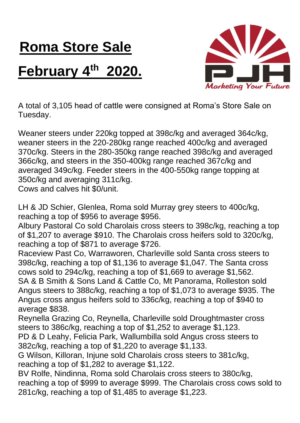## **Roma Store Sale February 4th 2020.**



A total of 3,105 head of cattle were consigned at Roma's Store Sale on Tuesday.

Weaner steers under 220kg topped at 398c/kg and averaged 364c/kg, weaner steers in the 220-280kg range reached 400c/kg and averaged 370c/kg. Steers in the 280-350kg range reached 398c/kg and averaged 366c/kg, and steers in the 350-400kg range reached 367c/kg and averaged 349c/kg. Feeder steers in the 400-550kg range topping at 350c/kg and averaging 311c/kg.

Cows and calves hit \$0/unit.

LH & JD Schier, Glenlea, Roma sold Murray grey steers to 400c/kg, reaching a top of \$956 to average \$956.

Albury Pastoral Co sold Charolais cross steers to 398c/kg, reaching a top of \$1,207 to average \$910. The Charolais cross heifers sold to 320c/kg, reaching a top of \$871 to average \$726.

Raceview Past Co, Warraworen, Charleville sold Santa cross steers to 398c/kg, reaching a top of \$1,136 to average \$1,047. The Santa cross cows sold to 294c/kg, reaching a top of \$1,669 to average \$1,562.

SA & B Smith & Sons Land & Cattle Co, Mt Panorama, Rolleston sold Angus steers to 388c/kg, reaching a top of \$1,073 to average \$935. The Angus cross angus heifers sold to 336c/kg, reaching a top of \$940 to average \$838.

Reynella Grazing Co, Reynella, Charleville sold Droughtmaster cross steers to 386c/kg, reaching a top of \$1,252 to average \$1,123.

PD & D Leahy, Felicia Park, Wallumbilla sold Angus cross steers to 382c/kg, reaching a top of \$1,220 to average \$1,133.

G Wilson, Killoran, Injune sold Charolais cross steers to 381c/kg, reaching a top of \$1,282 to average \$1,122.

BV Rolfe, Nindinna, Roma sold Charolais cross steers to 380c/kg, reaching a top of \$999 to average \$999. The Charolais cross cows sold to 281c/kg, reaching a top of \$1,485 to average \$1,223.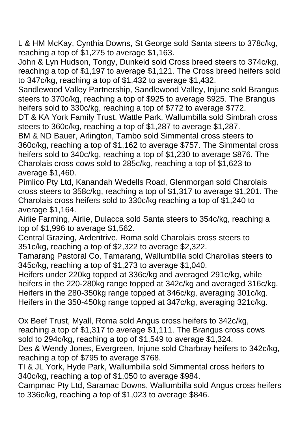L & HM McKay, Cynthia Downs, St George sold Santa steers to 378c/kg, reaching a top of \$1,275 to average \$1,163.

John & Lyn Hudson, Tongy, Dunkeld sold Cross breed steers to 374c/kg, reaching a top of \$1,197 to average \$1,121. The Cross breed heifers sold to 347c/kg, reaching a top of \$1,432 to average \$1,432.

Sandlewood Valley Partnership, Sandlewood Valley, Injune sold Brangus steers to 370c/kg, reaching a top of \$925 to average \$925. The Brangus heifers sold to 330c/kg, reaching a top of \$772 to average \$772.

DT & KA York Family Trust, Wattle Park, Wallumbilla sold Simbrah cross steers to 360c/kg, reaching a top of \$1,287 to average \$1,287.

BM & ND Bauer, Arlington, Tambo sold Simmental cross steers to 360c/kg, reaching a top of \$1,162 to average \$757. The Simmental cross heifers sold to 340c/kg, reaching a top of \$1,230 to average \$876. The Charolais cross cows sold to 285c/kg, reaching a top of \$1,623 to average \$1,460.

Pimlico Pty Ltd, Kanandah Wedells Road, Glenmorgan sold Charolais cross steers to 358c/kg, reaching a top of \$1,317 to average \$1,201. The Charolais cross heifers sold to 330c/kg reaching a top of \$1,240 to average \$1,164.

Airlie Farming, Airlie, Dulacca sold Santa steers to 354c/kg, reaching a top of \$1,996 to average \$1,562.

Central Grazing, Ardentrive, Roma sold Charolais cross steers to 351c/kg, reaching a top of \$2,322 to average \$2,322.

Tamarang Pastoral Co, Tamarang, Wallumbilla sold Charolias steers to 345c/kg, reaching a top of \$1,273 to average \$1,040.

Heifers under 220kg topped at 336c/kg and averaged 291c/kg, while heifers in the 220-280kg range topped at 342c/kg and averaged 316c/kg. Heifers in the 280-350kg range topped at 346c/kg, averaging 301c/kg. Heifers in the 350-450kg range topped at 347c/kg, averaging 321c/kg.

Ox Beef Trust, Myall, Roma sold Angus cross heifers to 342c/kg, reaching a top of \$1,317 to average \$1,111. The Brangus cross cows sold to 294c/kg, reaching a top of \$1,549 to average \$1,324.

Des & Wendy Jones, Evergreen, Injune sold Charbray heifers to 342c/kg, reaching a top of \$795 to average \$768.

TI & JL York, Hyde Park, Wallumbilla sold Simmental cross heifers to 340c/kg, reaching a top of \$1,050 to average \$984.

Campmac Pty Ltd, Saramac Downs, Wallumbilla sold Angus cross heifers to 336c/kg, reaching a top of \$1,023 to average \$846.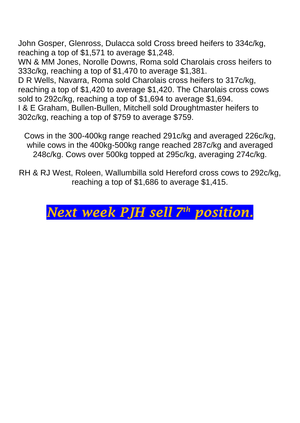John Gosper, Glenross, Dulacca sold Cross breed heifers to 334c/kg, reaching a top of \$1,571 to average \$1,248.

WN & MM Jones, Norolle Downs, Roma sold Charolais cross heifers to 333c/kg, reaching a top of \$1,470 to average \$1,381.

D R Wells, Navarra, Roma sold Charolais cross heifers to 317c/kg, reaching a top of \$1,420 to average \$1,420. The Charolais cross cows sold to 292c/kg, reaching a top of \$1,694 to average \$1,694. I & E Graham, Bullen-Bullen, Mitchell sold Droughtmaster heifers to 302c/kg, reaching a top of \$759 to average \$759.

Cows in the 300-400kg range reached 291c/kg and averaged 226c/kg, while cows in the 400kg-500kg range reached 287c/kg and averaged 248c/kg. Cows over 500kg topped at 295c/kg, averaging 274c/kg.

RH & RJ West, Roleen, Wallumbilla sold Hereford cross cows to 292c/kg, reaching a top of \$1,686 to average \$1,415.